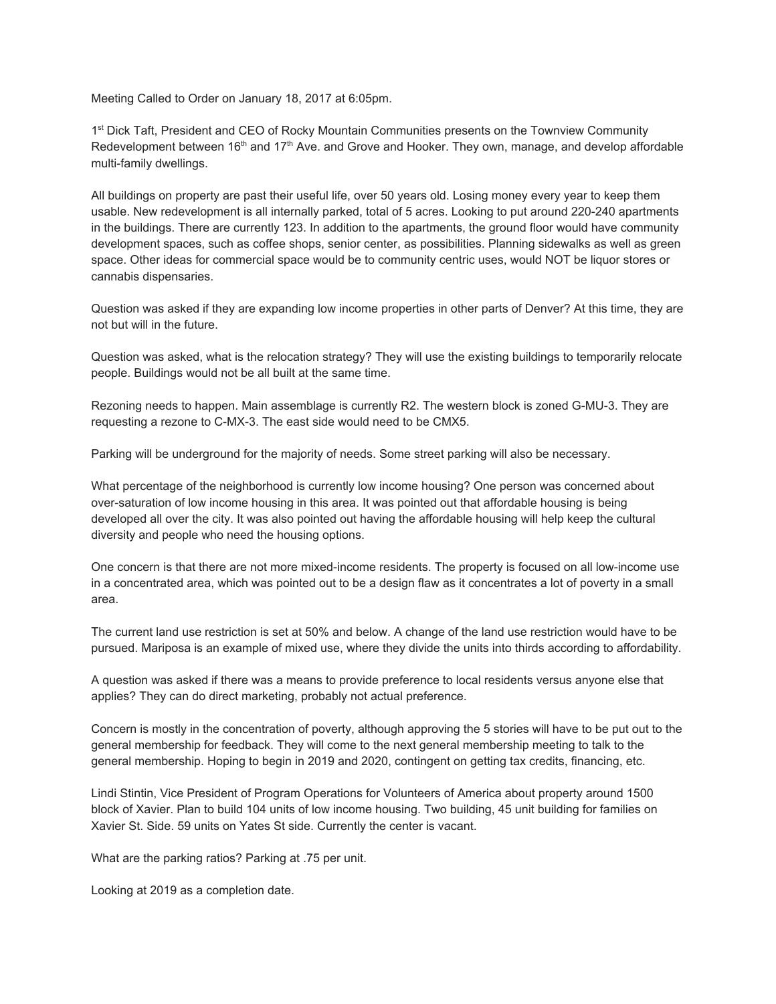Meeting Called to Order on January 18, 2017 at 6:05pm.

1<sup>st</sup> Dick Taft, President and CEO of Rocky Mountain Communities presents on the Townview Community Redevelopment between 16<sup>th</sup> and 17<sup>th</sup> Ave. and Grove and Hooker. They own, manage, and develop affordable multi-family dwellings.

All buildings on property are past their useful life, over 50 years old. Losing money every year to keep them usable. New redevelopment is all internally parked, total of 5 acres. Looking to put around 220-240 apartments in the buildings. There are currently 123. In addition to the apartments, the ground floor would have community development spaces, such as coffee shops, senior center, as possibilities. Planning sidewalks as well as green space. Other ideas for commercial space would be to community centric uses, would NOT be liquor stores or cannabis dispensaries.

Question was asked if they are expanding low income properties in other parts of Denver? At this time, they are not but will in the future.

Question was asked, what is the relocation strategy? They will use the existing buildings to temporarily relocate people. Buildings would not be all built at the same time.

Rezoning needs to happen. Main assemblage is currently R2. The western block is zoned G-MU-3. They are requesting a rezone to C-MX-3. The east side would need to be CMX5.

Parking will be underground for the majority of needs. Some street parking will also be necessary.

What percentage of the neighborhood is currently low income housing? One person was concerned about over-saturation of low income housing in this area. It was pointed out that affordable housing is being developed all over the city. It was also pointed out having the affordable housing will help keep the cultural diversity and people who need the housing options.

One concern is that there are not more mixed-income residents. The property is focused on all low-income use in a concentrated area, which was pointed out to be a design flaw as it concentrates a lot of poverty in a small area.

The current land use restriction is set at 50% and below. A change of the land use restriction would have to be pursued. Mariposa is an example of mixed use, where they divide the units into thirds according to affordability.

A question was asked if there was a means to provide preference to local residents versus anyone else that applies? They can do direct marketing, probably not actual preference.

Concern is mostly in the concentration of poverty, although approving the 5 stories will have to be put out to the general membership for feedback. They will come to the next general membership meeting to talk to the general membership. Hoping to begin in 2019 and 2020, contingent on getting tax credits, financing, etc.

Lindi Stintin, Vice President of Program Operations for Volunteers of America about property around 1500 block of Xavier. Plan to build 104 units of low income housing. Two building, 45 unit building for families on Xavier St. Side. 59 units on Yates St side. Currently the center is vacant.

What are the parking ratios? Parking at .75 per unit.

Looking at 2019 as a completion date.